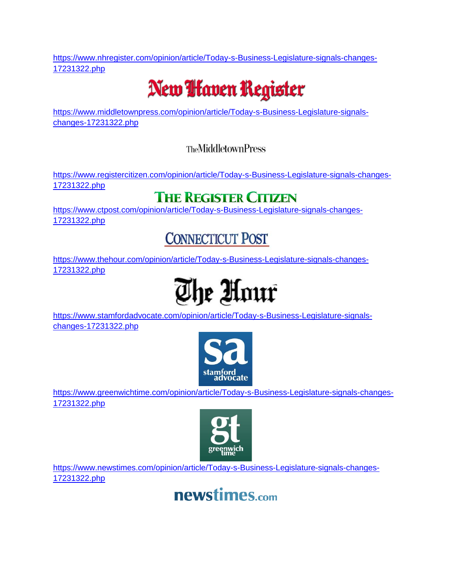[https://www.nhregister.com/opinion/article/Today-s-Business-Legislature-signals-changes-](https://www.nhregister.com/opinion/article/Today-s-Business-Legislature-signals-changes-17231322.php)[17231322.php](https://www.nhregister.com/opinion/article/Today-s-Business-Legislature-signals-changes-17231322.php)

## New **I** faven Register

[https://www.middletownpress.com/opinion/article/Today-s-Business-Legislature-signals](https://www.middletownpress.com/opinion/article/Today-s-Business-Legislature-signals-changes-17231322.php)[changes-17231322.php](https://www.middletownpress.com/opinion/article/Today-s-Business-Legislature-signals-changes-17231322.php)

**TheMiddletownPress** 

[https://www.registercitizen.com/opinion/article/Today-s-Business-Legislature-signals-changes-](https://www.registercitizen.com/opinion/article/Today-s-Business-Legislature-signals-changes-17231322.php)[17231322.php](https://www.registercitizen.com/opinion/article/Today-s-Business-Legislature-signals-changes-17231322.php)

#### **THE REGISTER CITIZEN**

[https://www.ctpost.com/opinion/article/Today-s-Business-Legislature-signals-changes-](https://www.ctpost.com/opinion/article/Today-s-Business-Legislature-signals-changes-17231322.php)[17231322.php](https://www.ctpost.com/opinion/article/Today-s-Business-Legislature-signals-changes-17231322.php)

#### **CONNECTICUT POST**

[https://www.thehour.com/opinion/article/Today-s-Business-Legislature-signals-changes-](https://www.thehour.com/opinion/article/Today-s-Business-Legislature-signals-changes-17231322.php)[17231322.php](https://www.thehour.com/opinion/article/Today-s-Business-Legislature-signals-changes-17231322.php)

# The Hour

[https://www.stamfordadvocate.com/opinion/article/Today-s-Business-Legislature-signals](https://www.stamfordadvocate.com/opinion/article/Today-s-Business-Legislature-signals-changes-17231322.php)[changes-17231322.php](https://www.stamfordadvocate.com/opinion/article/Today-s-Business-Legislature-signals-changes-17231322.php)



[https://www.greenwichtime.com/opinion/article/Today-s-Business-Legislature-signals-changes-](https://www.greenwichtime.com/opinion/article/Today-s-Business-Legislature-signals-changes-17231322.php)[17231322.php](https://www.greenwichtime.com/opinion/article/Today-s-Business-Legislature-signals-changes-17231322.php)



[https://www.newstimes.com/opinion/article/Today-s-Business-Legislature-signals-changes-](https://www.newstimes.com/opinion/article/Today-s-Business-Legislature-signals-changes-17231322.php)[17231322.php](https://www.newstimes.com/opinion/article/Today-s-Business-Legislature-signals-changes-17231322.php)

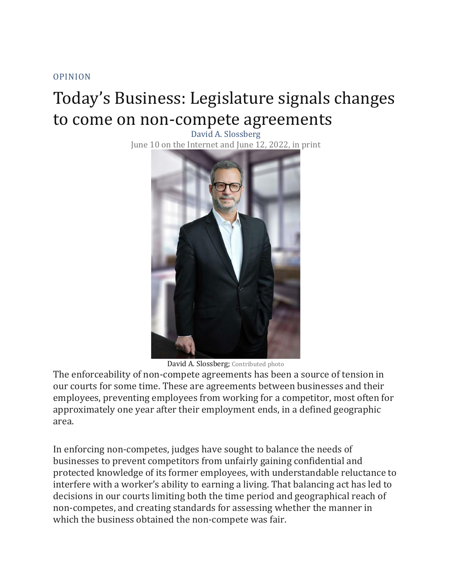[OPINION](https://www.nhregister.com/opinion/)

### Today's Business: Legislature signals changes to come on non-compete agreements

David A. Slossberg June 10 on the Internet and June 12, 2022, in print



David A. Slossberg; Contributed photo

The enforceability of non-compete agreements has been a source of tension in our courts for some time. These are agreements between businesses and their employees, preventing employees from working for a competitor, most often for approximately one year after their employment ends, in a defined geographic area.

In enforcing non-competes, judges have sought to balance the needs of businesses to prevent competitors from unfairly gaining confidential and protected knowledge of its former employees, with understandable reluctance to interfere with a worker's ability to earning a living. That balancing act has led to decisions in our courts limiting both the time period and geographical reach of non-competes, and creating standards for assessing whether the manner in which the business obtained the non-compete was fair.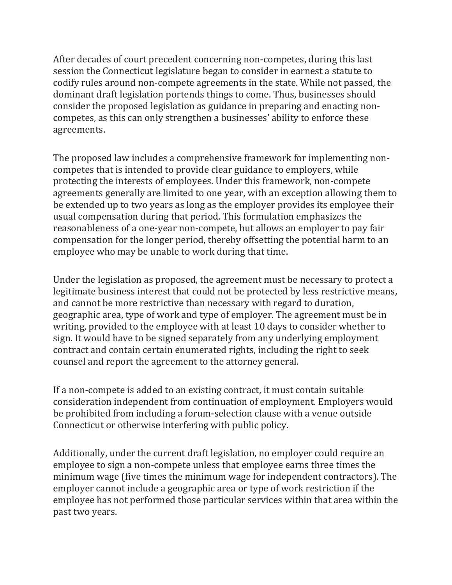After decades of court precedent concerning non-competes, during this last session the Connecticut legislature began to consider in earnest a statute to codify rules around non-compete agreements in the state. While not passed, the dominant draft legislation portends things to come. Thus, businesses should consider the proposed legislation as guidance in preparing and enacting noncompetes, as this can only strengthen a businesses' ability to enforce these agreements.

The proposed law includes a comprehensive framework for implementing noncompetes that is intended to provide clear guidance to employers, while protecting the interests of employees. Under this framework, non-compete agreements generally are limited to one year, with an exception allowing them to be extended up to two years as long as the employer provides its employee their usual compensation during that period. This formulation emphasizes the reasonableness of a one-year non-compete, but allows an employer to pay fair compensation for the longer period, thereby offsetting the potential harm to an employee who may be unable to work during that time.

Under the legislation as proposed, the agreement must be necessary to protect a legitimate business interest that could not be protected by less restrictive means, and cannot be more restrictive than necessary with regard to duration, geographic area, type of work and type of employer. The agreement must be in writing, provided to the employee with at least 10 days to consider whether to sign. It would have to be signed separately from any underlying employment contract and contain certain enumerated rights, including the right to seek counsel and report the agreement to the attorney general.

If a non-compete is added to an existing contract, it must contain suitable consideration independent from continuation of employment. Employers would be prohibited from including a forum-selection clause with a venue outside Connecticut or otherwise interfering with public policy.

Additionally, under the current draft legislation, no employer could require an employee to sign a non-compete unless that employee earns three times the minimum wage (five times the minimum wage for independent contractors). The employer cannot include a geographic area or type of work restriction if the employee has not performed those particular services within that area within the past two years.